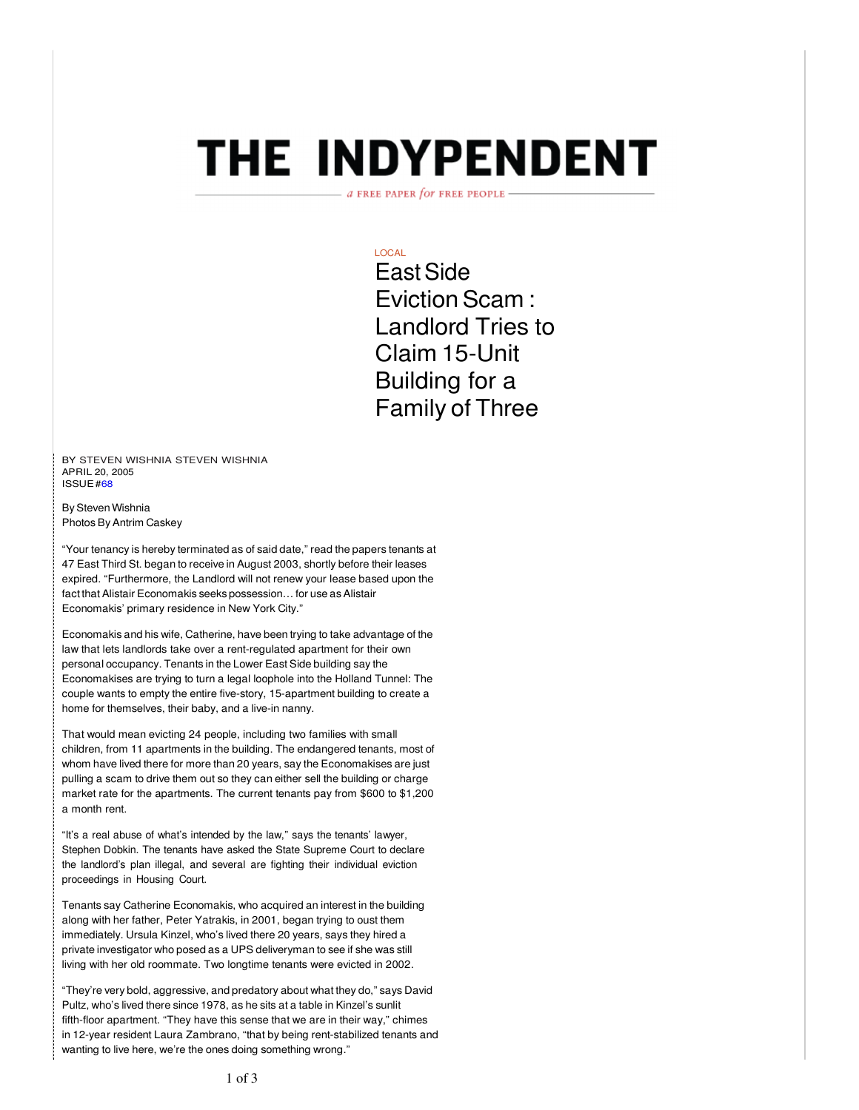# **THE INDYPENDENT**

a FREE PAPER for FREE PEOPLE

# LOCAL

East Side Eviction Scam : Landlord Tries to Claim 15-Unit Building for a Family of Three

BY STEVEN WISHNIA STEVEN WISHNIA APRIL 20, 2005 ISSUE #68

By Steven Wishnia Photos By Antrim Caskey

"Your tenancy is hereby terminated as of said date," read the papers tenants at 47 East Third St. began to receive in August 2003, shortly before their leases expired. "Furthermore, the Landlord will not renew your lease based upon the fact that Alistair Economakis seeks possession… for use as Alistair Economakis' primary residence in New York City."

Economakis and his wife, Catherine, have been trying to take advantage of the law that lets landlords take over a rent-regulated apartment for their own personal occupancy. Tenants in the Lower East Side building say the Economakises are trying to turn a legal loophole into the Holland Tunnel: The couple wants to empty the entire five-story, 15-apartment building to create a home for themselves, their baby, and a live-in nanny.

That would mean evicting 24 people, including two families with small children, from 11 apartments in the building. The endangered tenants, most of whom have lived there for more than 20 years, say the Economakises are just pulling a scam to drive them out so they can either sell the building or charge market rate for the apartments. The current tenants pay from \$600 to \$1,200 a month rent.

"It's a real abuse of what's intended by the law," says the tenants' lawyer, Stephen Dobkin. The tenants have asked the State Supreme Court to declare the landlord's plan illegal, and several are fighting their individual eviction proceedings in Housing Court.

Tenants say Catherine Economakis, who acquired an interest in the building along with her father, Peter Yatrakis, in 2001, began trying to oust them immediately. Ursula Kinzel, who's lived there 20 years, says they hired a private investigator who posed as a UPS deliveryman to see if she was still living with her old roommate. Two longtime tenants were evicted in 2002.

"They're very bold, aggressive, and predatory about what they do," says David Pultz, who's lived there since 1978, as he sits at a table in Kinzel's sunlit fifth-floor apartment. "They have this sense that we are in their way," chimes in 12-year resident Laura Zambrano, "that by being rent-stabilized tenants and wanting to live here, we're the ones doing something wrong."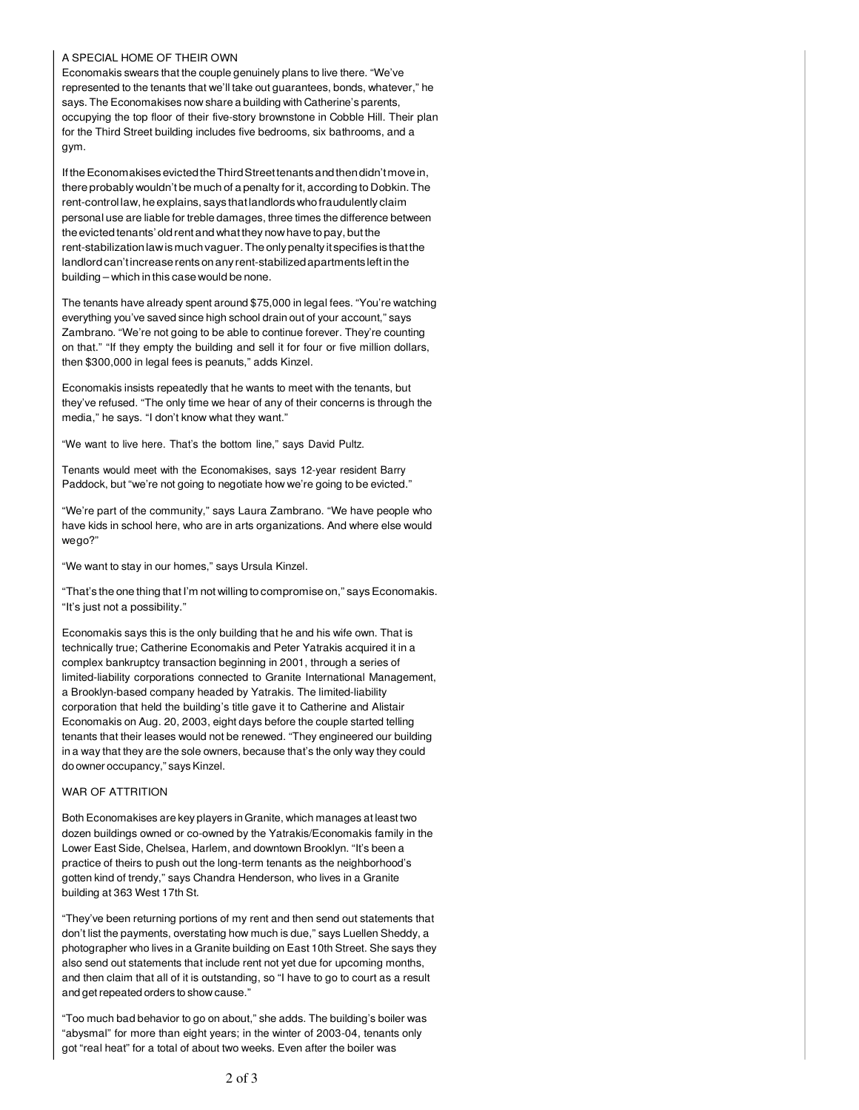#### A SPECIAL HOME OF THEIR OWN

Economakis swears that the couple genuinely plans to live there. "We've represented to the tenants that we'll take out guarantees, bonds, whatever," he says. The Economakises now share a building with Catherine's parents, occupying the top floor of their five-story brownstone in Cobble Hill. Their plan for the Third Street building includes five bedrooms, six bathrooms, and a gym.

If the Economakises evicted the Third Street tenants and then didn't move in, there probably wouldn't be much of a penalty for it, according to Dobkin. The rent-control law, he explains, says that landlords who fraudulently claim personal use are liable for treble damages, three times the difference between the evicted tenants' old rent and what they now have to pay, but the rent-stabilization law is much vaguer. The only penalty it specifies is that the landlord can't increase rents on any rent-stabilized apartments left in the building – which in this case would be none.

The tenants have already spent around \$75,000 in legal fees. "You're watching everything you've saved since high school drain out of your account," says Zambrano. "We're not going to be able to continue forever. They're counting on that." "If they empty the building and sell it for four or five million dollars, then \$300,000 in legal fees is peanuts," adds Kinzel.

Economakis insists repeatedly that he wants to meet with the tenants, but they've refused. "The only time we hear of any of their concerns is through the media," he says. "I don't know what they want."

"We want to live here. That's the bottom line," says David Pultz.

Tenants would meet with the Economakises, says 12-year resident Barry Paddock, but "we're not going to negotiate how we're going to be evicted."

"We're part of the community," says Laura Zambrano. "We have people who have kids in school here, who are in arts organizations. And where else would we go?"

"We want to stay in our homes," says Ursula Kinzel.

"That's the one thing that I'm not willing to compromise on," says Economakis. "It's just not a possibility."

Economakis says this is the only building that he and his wife own. That is technically true; Catherine Economakis and Peter Yatrakis acquired it in a complex bankruptcy transaction beginning in 2001, through a series of limited-liability corporations connected to Granite International Management, a Brooklyn-based company headed by Yatrakis. The limited-liability corporation that held the building's title gave it to Catherine and Alistair Economakis on Aug. 20, 2003, eight days before the couple started telling tenants that their leases would not be renewed. "They engineered our building in a way that they are the sole owners, because that's the only way they could do owner occupancy," says Kinzel.

### WAR OF ATTRITION

Both Economakises are key players in Granite, which manages at least two dozen buildings owned or co-owned by the Yatrakis/Economakis family in the Lower East Side, Chelsea, Harlem, and downtown Brooklyn. "It's been a practice of theirs to push out the long-term tenants as the neighborhood's gotten kind of trendy," says Chandra Henderson, who lives in a Granite building at 363 West 17th St.

"They've been returning portions of my rent and then send out statements that don't list the payments, overstating how much is due," says Luellen Sheddy, a photographer who lives in a Granite building on East 10th Street. She says they also send out statements that include rent not yet due for upcoming months, and then claim that all of it is outstanding, so "I have to go to court as a result and get repeated orders to show cause."

"Too much bad behavior to go on about," she adds. The building's boiler was "abysmal" for more than eight years; in the winter of 2003-04, tenants only got "real heat" for a total of about two weeks. Even after the boiler was